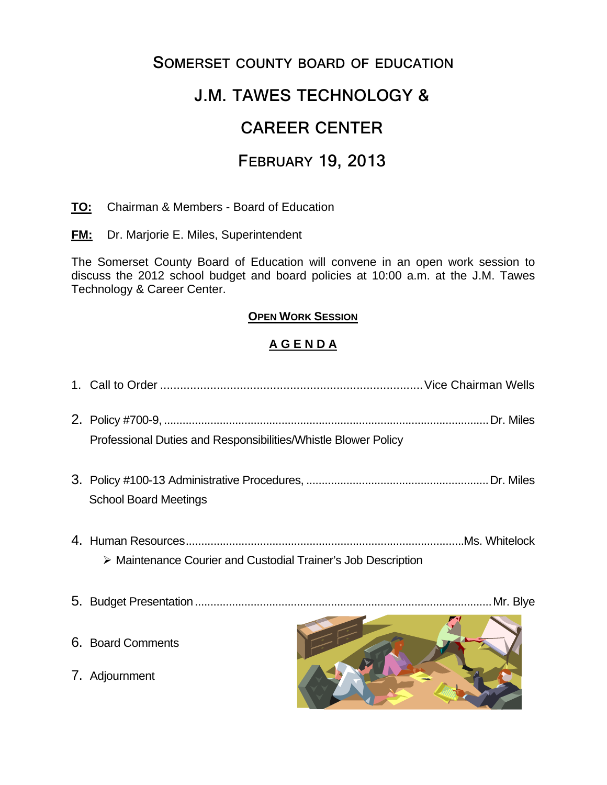## **SOMERSET COUNTY BOARD OF EDUCATION**

# **J.M. TAWES TECHNOLOGY &**

# **CAREER CENTER**

## **FEBRUARY 19, 2013**

**TO:** Chairman & Members - Board of Education

**FM:** Dr. Marjorie E. Miles, Superintendent

The Somerset County Board of Education will convene in an open work session to discuss the 2012 school budget and board policies at 10:00 a.m. at the J.M. Tawes Technology & Career Center.

### **OPEN WORK SESSION**

## **A G E N D A**

- 1. Call to Order ............................................................................... Vice Chairman Wells
- 2. Policy #700-9, ......................................................................................................... Dr. Miles Professional Duties and Responsibilities/Whistle Blower Policy
- 3. Policy #100-13 Administrative Procedures, ........................................................... Dr. Miles School Board Meetings
- 4. Human Resources .......................................................................................... Ms. Whitelock Maintenance Courier and Custodial Trainer's Job Description
- 5. Budget Presentation ................................................................................................ Mr. Blye
- 6. Board Comments
- 7. Adjournment

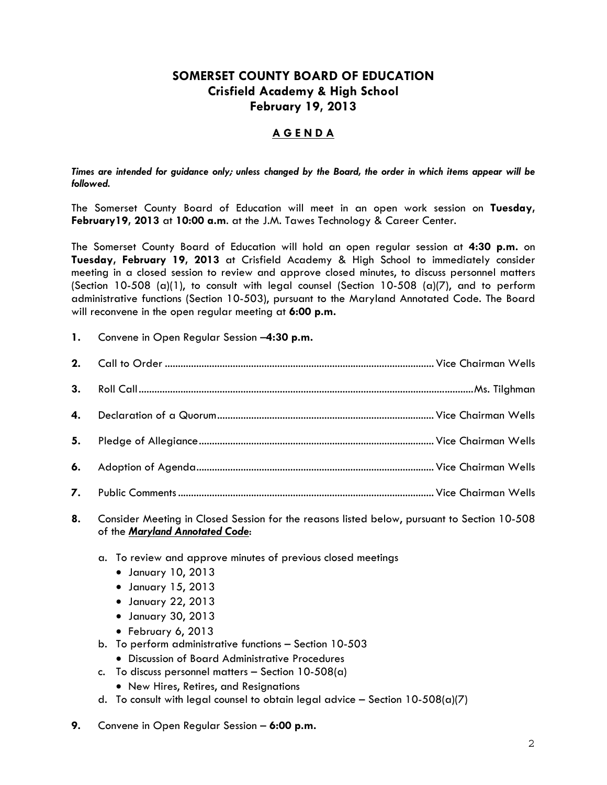### **SOMERSET COUNTY BOARD OF EDUCATION Crisfield Academy & High School February 19, 2013**

#### **A G E N D A**

*Times are intended for guidance only; unless changed by the Board, the order in which items appear will be followed.* 

The Somerset County Board of Education will meet in an open work session on **Tuesday, February19, 2013** at **10:00 a.m**. at the J.M. Tawes Technology & Career Center.

The Somerset County Board of Education will hold an open regular session at **4:30 p.m.** on **Tuesday, February 19, 2013** at Crisfield Academy & High School to immediately consider meeting in a closed session to review and approve closed minutes, to discuss personnel matters (Section 10-508  $(a)(1)$ , to consult with legal counsel (Section 10-508  $(a)(7)$ , and to perform administrative functions (Section 10-503), pursuant to the Maryland Annotated Code. The Board will reconvene in the open regular meeting at **6:00 p.m.**

**1.** Convene in Open Regular Session –**4:30 p.m.** 

| 4. |  |
|----|--|
| 5. |  |
|    |  |
|    |  |

**8.** Consider Meeting in Closed Session for the reasons listed below, pursuant to Section 10-508 of the *Maryland Annotated Code*:

- a. To review and approve minutes of previous closed meetings
	- January 10, 2013
	- January 15, 2013
	- January 22, 2013
	- January 30, 2013
	- February 6, 2013
- b. To perform administrative functions Section 10-503
	- Discussion of Board Administrative Procedures
- c. To discuss personnel matters  $-$  Section 10-508(a)
	- New Hires, Retires, and Resignations
- d. To consult with legal counsel to obtain legal advice  $-$  Section 10-508(a)(7)
- **9.** Convene in Open Regular Session **6:00 p.m.**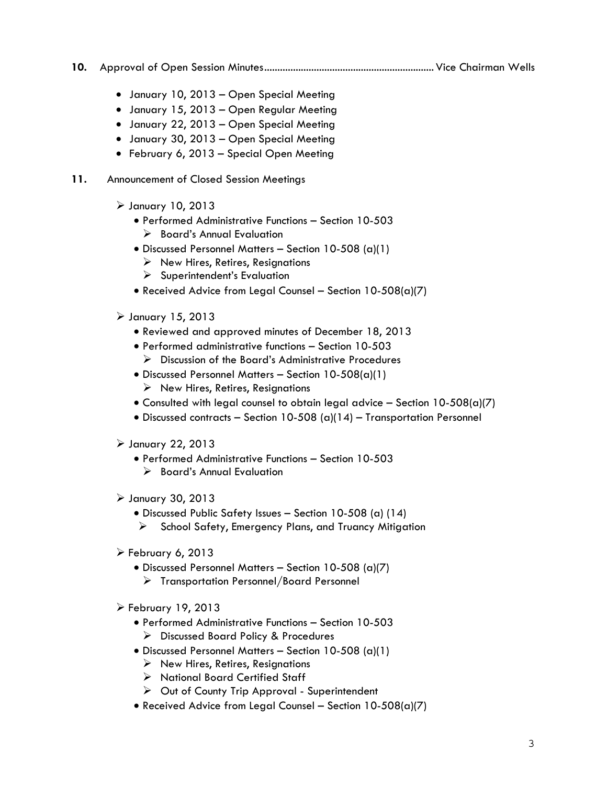- **10.** Approval of Open Session Minutes ................................................................. Vice Chairman Wells
	- January 10, 2013 Open Special Meeting
	- January 15, 2013 Open Regular Meeting
	- January 22, 2013 Open Special Meeting
	- January 30, 2013 Open Special Meeting
	- February 6, 2013 Special Open Meeting
- **11.** Announcement of Closed Session Meetings
	- $\triangleright$  January 10, 2013
		- Performed Administrative Functions Section 10-503
			- $\triangleright$  Board's Annual Evaluation
		- Discussed Personnel Matters Section 10-508 (a)(1)
			- $\triangleright$  New Hires, Retires, Resignations
			- $\triangleright$  Superintendent's Evaluation
		- Received Advice from Legal Counsel Section 10-508(a)(7)
	- $\triangleright$  January 15, 2013
		- Reviewed and approved minutes of December 18, 2013
		- Performed administrative functions Section 10-503 Discussion of the Board's Administrative Procedures
		- Discussed Personnel Matters Section 10-508(a)(1)  $\triangleright$  New Hires, Retires, Resignations
		- Consulted with legal counsel to obtain legal advice Section  $10-508(a)(7)$
		- Discussed contracts Section 10-508 (a)(14) Transportation Personnel
	- $\triangleright$  January 22, 2013
		- Performed Administrative Functions Section 10-503
			- $\triangleright$  Board's Annual Evaluation
	- January 30, 2013
		- Discussed Public Safety Issues Section 10-508 (a) (14)
		- $\triangleright$  School Safety, Emergency Plans, and Truancy Mitigation
	- $\triangleright$  February 6, 2013
		- Discussed Personnel Matters Section 10-508 (a)(7)
			- Transportation Personnel/Board Personnel
	- $\triangleright$  February 19, 2013
		- Performed Administrative Functions Section 10-503 Discussed Board Policy & Procedures
		- Discussed Personnel Matters Section 10-508 (a)(1)
			- $\triangleright$  New Hires, Retires, Resignations
			- > National Board Certified Staff
			- $\triangleright$  Out of County Trip Approval Superintendent
		- Received Advice from Legal Counsel Section 10-508(a)(7)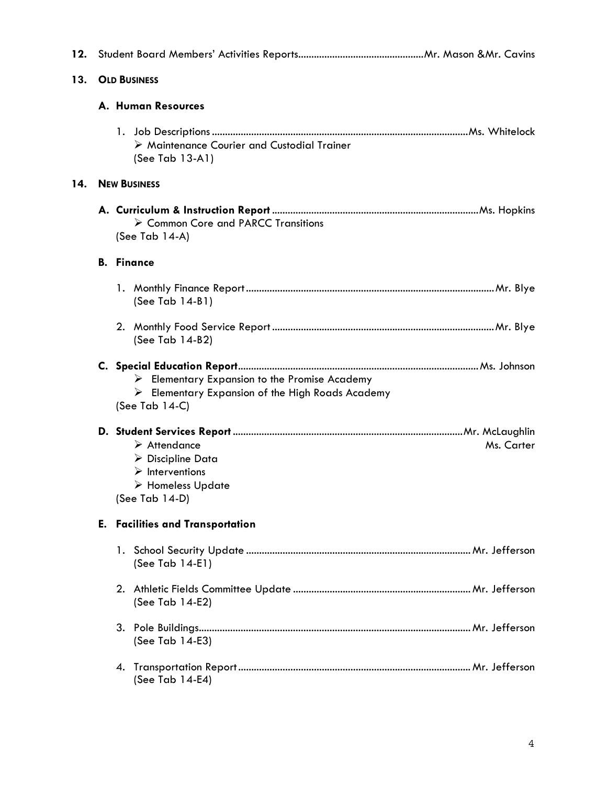| 12. |                     |                                                                                                                                                                       |  |  |  |
|-----|---------------------|-----------------------------------------------------------------------------------------------------------------------------------------------------------------------|--|--|--|
| 13. |                     | <b>OLD BUSINESS</b>                                                                                                                                                   |  |  |  |
|     |                     | A. Human Resources                                                                                                                                                    |  |  |  |
|     |                     | > Maintenance Courier and Custodial Trainer<br>(See Tab 13-A1)                                                                                                        |  |  |  |
| 14. | <b>NEW BUSINESS</b> |                                                                                                                                                                       |  |  |  |
|     |                     | $\triangleright$ Common Core and PARCC Transitions<br>(See Tab 14-A)                                                                                                  |  |  |  |
|     |                     | <b>B.</b> Finance                                                                                                                                                     |  |  |  |
|     |                     | (See Tab 14-B1)                                                                                                                                                       |  |  |  |
|     |                     | (See Tab 14-B2)                                                                                                                                                       |  |  |  |
|     |                     | $\triangleright$ Elementary Expansion to the Promise Academy<br>$\triangleright$ Elementary Expansion of the High Roads Academy<br>(See Tab 14-C)                     |  |  |  |
|     |                     | $\triangleright$ Attendance<br>Ms. Carter<br>$\triangleright$ Discipline Data<br>$\triangleright$ Interventions<br>$\triangleright$ Homeless Update<br>(See Tab 14-D) |  |  |  |
|     | Е.                  | <b>Facilities and Transportation</b>                                                                                                                                  |  |  |  |
|     |                     | (See Tab 14-E1)                                                                                                                                                       |  |  |  |
|     |                     | (See Tab 14-E2)                                                                                                                                                       |  |  |  |
|     |                     | (See Tab 14-E3)                                                                                                                                                       |  |  |  |
|     |                     | (See Tab 14-E4)                                                                                                                                                       |  |  |  |